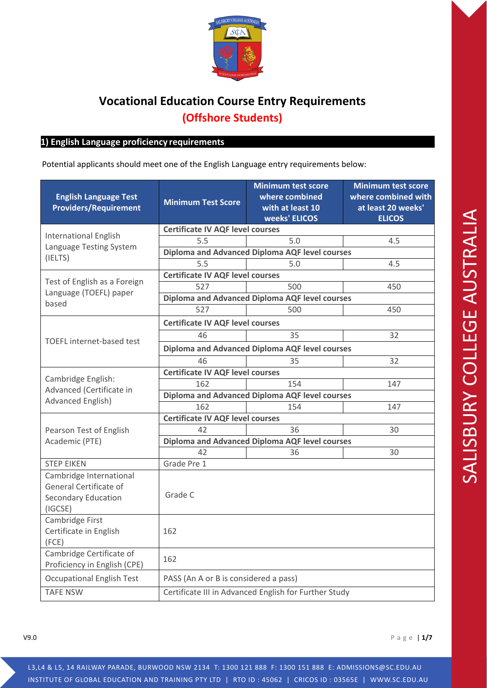

# **Vocational Education Course Entry Requirements (Offshore Students)**

#### **1) 1) English Language proficiency requirements**

Potential applicants should meet one of the English Language entry requirements below:

| <b>English Language Test</b><br><b>Providers/Requirement</b>                               | <b>Minimum Test Score</b>                             | <b>Minimum test score</b><br>where combined<br>with at least 10<br>weeks' ELICOS | <b>Minimum test score</b><br>where combined with<br>at least 20 weeks'<br><b>ELICOS</b> |  |
|--------------------------------------------------------------------------------------------|-------------------------------------------------------|----------------------------------------------------------------------------------|-----------------------------------------------------------------------------------------|--|
|                                                                                            | <b>Certificate IV AQF level courses</b>               |                                                                                  |                                                                                         |  |
| <b>International English</b>                                                               | 5.5                                                   | 5.0                                                                              | 4.5                                                                                     |  |
| Language Testing System                                                                    | Diploma and Advanced Diploma AQF level courses        |                                                                                  |                                                                                         |  |
| (IELTS)                                                                                    | 5.5                                                   | 5.0                                                                              | 4.5                                                                                     |  |
|                                                                                            | <b>Certificate IV AQF level courses</b>               |                                                                                  |                                                                                         |  |
| Test of English as a Foreign<br>Language (TOEFL) paper                                     | 527                                                   | 500                                                                              | 450                                                                                     |  |
| based                                                                                      | Diploma and Advanced Diploma AQF level courses        |                                                                                  |                                                                                         |  |
|                                                                                            | 527                                                   | 500                                                                              | 450                                                                                     |  |
|                                                                                            | <b>Certificate IV AQF level courses</b>               |                                                                                  |                                                                                         |  |
| TOEFL internet-based test                                                                  | 46                                                    | 35                                                                               | 32                                                                                      |  |
|                                                                                            | Diploma and Advanced Diploma AQF level courses        |                                                                                  |                                                                                         |  |
|                                                                                            | 46                                                    | 35                                                                               | 32                                                                                      |  |
|                                                                                            | <b>Certificate IV AQF level courses</b>               |                                                                                  |                                                                                         |  |
| Cambridge English:<br>Advanced (Certificate in                                             | 162                                                   | 154                                                                              | 147                                                                                     |  |
| <b>Advanced English)</b>                                                                   | Diploma and Advanced Diploma AQF level courses        |                                                                                  |                                                                                         |  |
|                                                                                            | 162                                                   | 154                                                                              | 147                                                                                     |  |
|                                                                                            | <b>Certificate IV AQF level courses</b>               |                                                                                  |                                                                                         |  |
| Pearson Test of English                                                                    | 42                                                    | 36                                                                               | 30                                                                                      |  |
| Academic (PTE)                                                                             | Diploma and Advanced Diploma AQF level courses        |                                                                                  |                                                                                         |  |
|                                                                                            | 42                                                    | 36                                                                               | 30                                                                                      |  |
| <b>STEP EIKEN</b>                                                                          | Grade Pre 1                                           |                                                                                  |                                                                                         |  |
| Cambridge International<br>General Certificate of<br><b>Secondary Education</b><br>(IGCSE) | Grade C                                               |                                                                                  |                                                                                         |  |
| Cambridge First<br>Certificate in English<br>(FCE)                                         | 162                                                   |                                                                                  |                                                                                         |  |
| Cambridge Certificate of<br>Proficiency in English (CPE)                                   | 162                                                   |                                                                                  |                                                                                         |  |
| <b>Occupational English Test</b>                                                           | PASS (An A or B is considered a pass)                 |                                                                                  |                                                                                         |  |
| <b>TAFE NSW</b>                                                                            | Certificate III in Advanced English for Further Study |                                                                                  |                                                                                         |  |

V9.0 Page | **1/7**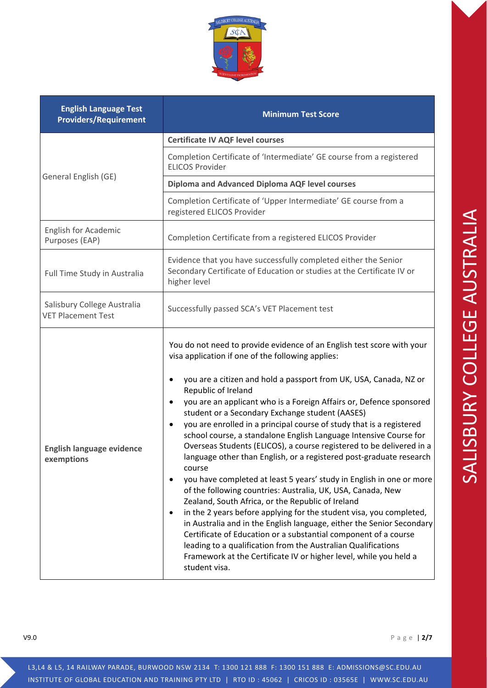| <b>English Language Test</b><br><b>Providers/Requirement</b> | <b>Minimum Test Score</b>                                                                                                                                                                                                                                                                                                                                                                                                                                                                                                                                                                                                                                                                                                                                                                                                                                                                                                                                                                                                                                                                                                                                                                                                                                            |  |
|--------------------------------------------------------------|----------------------------------------------------------------------------------------------------------------------------------------------------------------------------------------------------------------------------------------------------------------------------------------------------------------------------------------------------------------------------------------------------------------------------------------------------------------------------------------------------------------------------------------------------------------------------------------------------------------------------------------------------------------------------------------------------------------------------------------------------------------------------------------------------------------------------------------------------------------------------------------------------------------------------------------------------------------------------------------------------------------------------------------------------------------------------------------------------------------------------------------------------------------------------------------------------------------------------------------------------------------------|--|
|                                                              | <b>Certificate IV AQF level courses</b>                                                                                                                                                                                                                                                                                                                                                                                                                                                                                                                                                                                                                                                                                                                                                                                                                                                                                                                                                                                                                                                                                                                                                                                                                              |  |
|                                                              | Completion Certificate of 'Intermediate' GE course from a registered<br><b>ELICOS Provider</b>                                                                                                                                                                                                                                                                                                                                                                                                                                                                                                                                                                                                                                                                                                                                                                                                                                                                                                                                                                                                                                                                                                                                                                       |  |
| General English (GE)                                         | <b>Diploma and Advanced Diploma AQF level courses</b>                                                                                                                                                                                                                                                                                                                                                                                                                                                                                                                                                                                                                                                                                                                                                                                                                                                                                                                                                                                                                                                                                                                                                                                                                |  |
|                                                              | Completion Certificate of 'Upper Intermediate' GE course from a<br>registered ELICOS Provider                                                                                                                                                                                                                                                                                                                                                                                                                                                                                                                                                                                                                                                                                                                                                                                                                                                                                                                                                                                                                                                                                                                                                                        |  |
| English for Academic<br>Purposes (EAP)                       | Completion Certificate from a registered ELICOS Provider                                                                                                                                                                                                                                                                                                                                                                                                                                                                                                                                                                                                                                                                                                                                                                                                                                                                                                                                                                                                                                                                                                                                                                                                             |  |
| Full Time Study in Australia                                 | Evidence that you have successfully completed either the Senior<br>Secondary Certificate of Education or studies at the Certificate IV or<br>higher level                                                                                                                                                                                                                                                                                                                                                                                                                                                                                                                                                                                                                                                                                                                                                                                                                                                                                                                                                                                                                                                                                                            |  |
| Salisbury College Australia<br><b>VET Placement Test</b>     | Successfully passed SCA's VET Placement test                                                                                                                                                                                                                                                                                                                                                                                                                                                                                                                                                                                                                                                                                                                                                                                                                                                                                                                                                                                                                                                                                                                                                                                                                         |  |
| <b>English language evidence</b><br>exemptions               | You do not need to provide evidence of an English test score with your<br>visa application if one of the following applies:<br>you are a citizen and hold a passport from UK, USA, Canada, NZ or<br>Republic of Ireland<br>you are an applicant who is a Foreign Affairs or, Defence sponsored<br>student or a Secondary Exchange student (AASES)<br>you are enrolled in a principal course of study that is a registered<br>$\bullet$<br>school course, a standalone English Language Intensive Course for<br>Overseas Students (ELICOS), a course registered to be delivered in a<br>language other than English, or a registered post-graduate research<br>course<br>you have completed at least 5 years' study in English in one or more<br>$\bullet$<br>of the following countries: Australia, UK, USA, Canada, New<br>Zealand, South Africa, or the Republic of Ireland<br>in the 2 years before applying for the student visa, you completed,<br>$\bullet$<br>in Australia and in the English language, either the Senior Secondary<br>Certificate of Education or a substantial component of a course<br>leading to a qualification from the Australian Qualifications<br>Framework at the Certificate IV or higher level, while you held a<br>student visa. |  |

V9.0 Page | **2/7**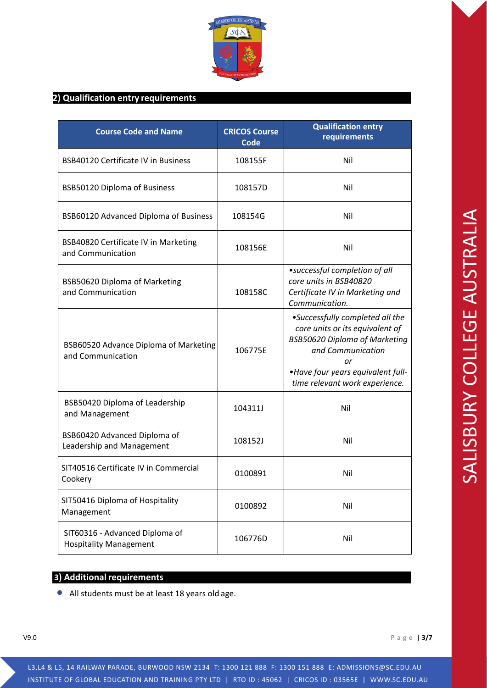

### **2) Qualification entry requirements**

| <b>Course Code and Name</b>                                     | <b>CRICOS Course</b><br><b>Code</b> | <b>Qualification entry</b><br>requirements                                                                                                                                                                   |
|-----------------------------------------------------------------|-------------------------------------|--------------------------------------------------------------------------------------------------------------------------------------------------------------------------------------------------------------|
| <b>BSB40120 Certificate IV in Business</b>                      | 108155F                             | Nil                                                                                                                                                                                                          |
| BSB50120 Diploma of Business                                    | 108157D                             | Nil                                                                                                                                                                                                          |
| BSB60120 Advanced Diploma of Business                           | 108154G                             | Nil                                                                                                                                                                                                          |
| BSB40820 Certificate IV in Marketing<br>and Communication       | 108156E                             | Nil                                                                                                                                                                                                          |
| BSB50620 Diploma of Marketing<br>and Communication              | 108158C                             | • successful completion of all<br>core units in BSB40820<br>Certificate IV in Marketing and<br>Communication.                                                                                                |
| BSB60520 Advance Diploma of Marketing<br>and Communication      | 106775E                             | •Successfully completed all the<br>core units or its equivalent of<br><b>BSB50620 Diploma of Marketing</b><br>and Communication<br>or<br>•Have four years equivalent full-<br>time relevant work experience. |
| BSB50420 Diploma of Leadership<br>and Management                | 104311J                             | Nil                                                                                                                                                                                                          |
| BSB60420 Advanced Diploma of<br>Leadership and Management       | 108152J                             | Nil                                                                                                                                                                                                          |
| SIT40516 Certificate IV in Commercial<br>Cookery                | 0100891                             | Nil                                                                                                                                                                                                          |
| SIT50416 Diploma of Hospitality<br>Management                   | 0100892                             | Nil                                                                                                                                                                                                          |
| SIT60316 - Advanced Diploma of<br><b>Hospitality Management</b> | 106776D                             | Nil                                                                                                                                                                                                          |

#### **2)** Additional requirements

• All students must be at least 18 years old age.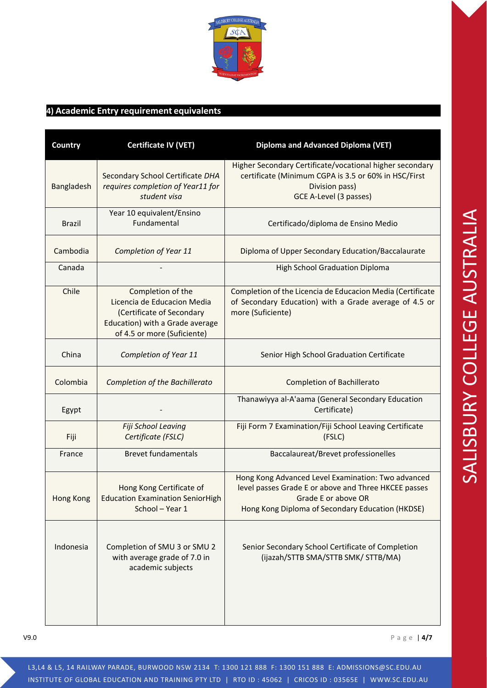

## **3) 4) Academic Entry requirement equivalents**

| Country       | <b>Certificate IV (VET)</b>                                                                                                                     | <b>Diploma and Advanced Diploma (VET)</b>                                                                                                                                             |
|---------------|-------------------------------------------------------------------------------------------------------------------------------------------------|---------------------------------------------------------------------------------------------------------------------------------------------------------------------------------------|
| Bangladesh    | Secondary School Certificate DHA<br>requires completion of Year11 for<br>student visa                                                           | Higher Secondary Certificate/vocational higher secondary<br>certificate (Minimum CGPA is 3.5 or 60% in HSC/First<br>Division pass)<br>GCE A-Level (3 passes)                          |
| <b>Brazil</b> | Year 10 equivalent/Ensino<br>Fundamental                                                                                                        | Certificado/diploma de Ensino Medio                                                                                                                                                   |
| Cambodia      | Completion of Year 11                                                                                                                           | Diploma of Upper Secondary Education/Baccalaurate                                                                                                                                     |
| Canada        |                                                                                                                                                 | <b>High School Graduation Diploma</b>                                                                                                                                                 |
| Chile         | Completion of the<br>Licencia de Educacion Media<br>(Certificate of Secondary<br>Education) with a Grade average<br>of 4.5 or more (Suficiente) | Completion of the Licencia de Educacion Media (Certificate<br>of Secondary Education) with a Grade average of 4.5 or<br>more (Suficiente)                                             |
| China         | Completion of Year 11                                                                                                                           | Senior High School Graduation Certificate                                                                                                                                             |
| Colombia      | <b>Completion of the Bachillerato</b>                                                                                                           | <b>Completion of Bachillerato</b>                                                                                                                                                     |
| Egypt         |                                                                                                                                                 | Thanawiyya al-A'aama (General Secondary Education<br>Certificate)                                                                                                                     |
| Fiji          | Fiji School Leaving<br>Certificate (FSLC)                                                                                                       | Fiji Form 7 Examination/Fiji School Leaving Certificate<br>(FSLC)                                                                                                                     |
| France        | <b>Brevet fundamentals</b>                                                                                                                      | Baccalaureat/Brevet professionelles                                                                                                                                                   |
| Hong Kong     | Hong Kong Certificate of<br><b>Education Examination SeniorHigh</b><br>School - Year 1                                                          | Hong Kong Advanced Level Examination: Two advanced<br>level passes Grade E or above and Three HKCEE passes<br>Grade E or above OR<br>Hong Kong Diploma of Secondary Education (HKDSE) |
| Indonesia     | Completion of SMU 3 or SMU 2<br>with average grade of 7.0 in<br>academic subjects                                                               | Senior Secondary School Certificate of Completion<br>(ijazah/STTB SMA/STTB SMK/ STTB/MA)                                                                                              |

V9.0 Page | **4/7**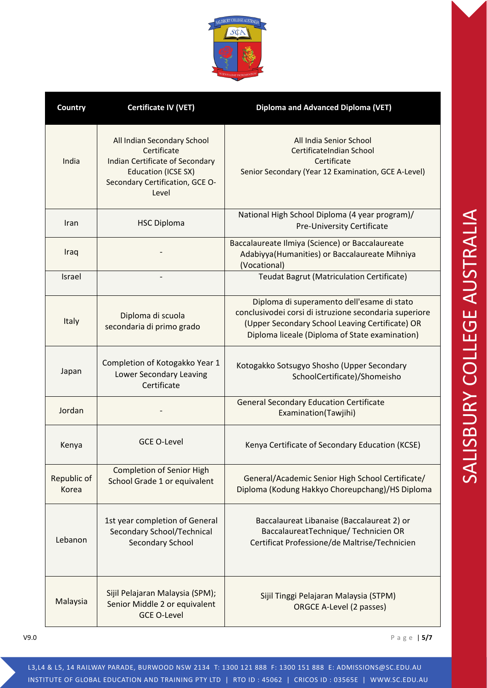

| Country              | <b>Certificate IV (VET)</b>                                                                                                                                    | <b>Diploma and Advanced Diploma (VET)</b>                                                                                                                                                                 |
|----------------------|----------------------------------------------------------------------------------------------------------------------------------------------------------------|-----------------------------------------------------------------------------------------------------------------------------------------------------------------------------------------------------------|
| India                | All Indian Secondary School<br>Certificate<br><b>Indian Certificate of Secondary</b><br><b>Education (ICSE SX)</b><br>Secondary Certification, GCE O-<br>Level | All India Senior School<br>CertificateIndian School<br>Certificate<br>Senior Secondary (Year 12 Examination, GCE A-Level)                                                                                 |
| Iran                 | <b>HSC Diploma</b>                                                                                                                                             | National High School Diploma (4 year program)/<br>Pre-University Certificate                                                                                                                              |
| Iraq                 |                                                                                                                                                                | Baccalaureate Ilmiya (Science) or Baccalaureate<br>Adabiyya (Humanities) or Baccalaureate Mihniya<br>(Vocational)                                                                                         |
| Israel               |                                                                                                                                                                | Teudat Bagrut (Matriculation Certificate)                                                                                                                                                                 |
| Italy                | Diploma di scuola<br>secondaria di primo grado                                                                                                                 | Diploma di superamento dell'esame di stato<br>conclusivodei corsi di istruzione secondaria superiore<br>(Upper Secondary School Leaving Certificate) OR<br>Diploma liceale (Diploma of State examination) |
| Japan                | Completion of Kotogakko Year 1<br>Lower Secondary Leaving<br>Certificate                                                                                       | Kotogakko Sotsugyo Shosho (Upper Secondary<br>SchoolCertificate)/Shomeisho                                                                                                                                |
| Jordan               |                                                                                                                                                                | <b>General Secondary Education Certificate</b><br>Examination(Tawjihi)                                                                                                                                    |
| Kenya                | <b>GCE O-Level</b>                                                                                                                                             | Kenya Certificate of Secondary Education (KCSE)                                                                                                                                                           |
| Republic of<br>Korea | <b>Completion of Senior High</b><br>School Grade 1 or equivalent                                                                                               | General/Academic Senior High School Certificate/<br>Diploma (Kodung Hakkyo Choreupchang)/HS Diploma                                                                                                       |
| Lebanon              | 1st year completion of General<br>Secondary School/Technical<br><b>Secondary School</b>                                                                        | Baccalaureat Libanaise (Baccalaureat 2) or<br>BaccalaureatTechnique/Technicien OR<br>Certificat Professione/de Maltrise/Technicien                                                                        |
| Malaysia             | Sijil Pelajaran Malaysia (SPM);<br>Senior Middle 2 or equivalent<br><b>GCE O-Level</b>                                                                         | Sijil Tinggi Pelajaran Malaysia (STPM)<br>ORGCE A-Level (2 passes)                                                                                                                                        |

V9.0 Page | **5/7**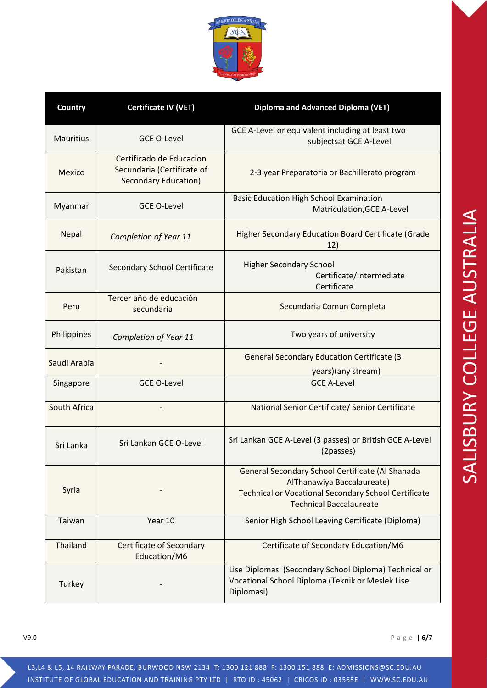

| Country          | <b>Certificate IV (VET)</b>                                                    | Diploma and Advanced Diploma (VET)                                                                                                                                              |
|------------------|--------------------------------------------------------------------------------|---------------------------------------------------------------------------------------------------------------------------------------------------------------------------------|
| <b>Mauritius</b> | <b>GCE O-Level</b>                                                             | GCE A-Level or equivalent including at least two<br>subjectsat GCE A-Level                                                                                                      |
| Mexico           | Certificado de Educacion<br>Secundaria (Certificate of<br>Secondary Education) | 2-3 year Preparatoria or Bachillerato program                                                                                                                                   |
| Myanmar          | <b>GCE O-Level</b>                                                             | <b>Basic Education High School Examination</b><br>Matriculation, GCE A-Level                                                                                                    |
| Nepal            | Completion of Year 11                                                          | Higher Secondary Education Board Certificate (Grade<br>12)                                                                                                                      |
| Pakistan         | Secondary School Certificate                                                   | <b>Higher Secondary School</b><br>Certificate/Intermediate<br>Certificate                                                                                                       |
| Peru             | Tercer año de educación<br>secundaria                                          | Secundaria Comun Completa                                                                                                                                                       |
| Philippines      | Completion of Year 11                                                          | Two years of university                                                                                                                                                         |
| Saudi Arabia     |                                                                                | <b>General Secondary Education Certificate (3)</b><br>years)(any stream)                                                                                                        |
| Singapore        | <b>GCE O-Level</b>                                                             | <b>GCE A-Level</b>                                                                                                                                                              |
| South Africa     |                                                                                | National Senior Certificate/ Senior Certificate                                                                                                                                 |
| Sri Lanka        | Sri Lankan GCE O-Level                                                         | Sri Lankan GCE A-Level (3 passes) or British GCE A-Level<br>(2passes)                                                                                                           |
| Syria            |                                                                                | General Secondary School Certificate (Al Shahada<br>AlThanawiya Baccalaureate)<br><b>Technical or Vocational Secondary School Certificate</b><br><b>Technical Baccalaureate</b> |
| Taiwan           | Year 10                                                                        | Senior High School Leaving Certificate (Diploma)                                                                                                                                |
| Thailand         | <b>Certificate of Secondary</b><br>Education/M6                                | Certificate of Secondary Education/M6                                                                                                                                           |
| Turkey           |                                                                                | Lise Diplomasi (Secondary School Diploma) Technical or<br>Vocational School Diploma (Teknik or Meslek Lise<br>Diplomasi)                                                        |

V9.0 Page | **6/7**